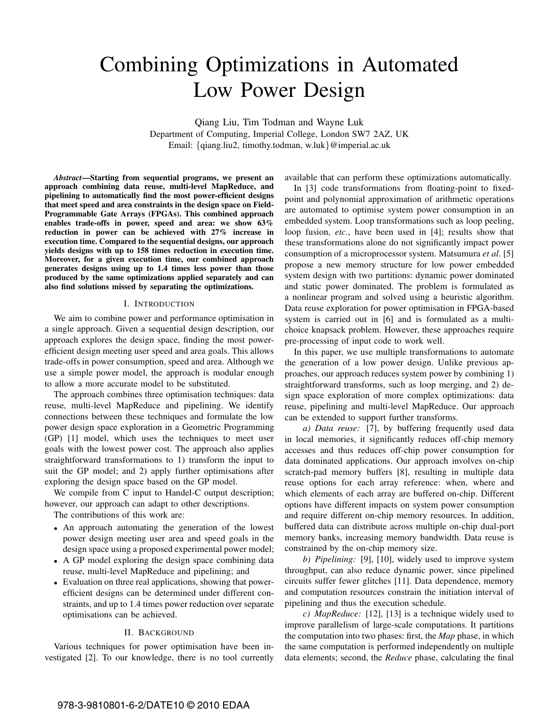# Combining Optimizations in Automated Low Power Design

Qiang Liu, Tim Todman and Wayne Luk Department of Computing, Imperial College, London SW7 2AZ, UK Email: {qiang.liu2, timothy.todman, w.luk}@imperial.ac.uk

*Abstract***—Starting from sequential programs, we present an approach combining data reuse, multi-level MapReduce, and pipelining to automatically find the most power-efficient designs that meet speed and area constraints in the design space on Field-Programmable Gate Arrays (FPGAs). This combined approach enables trade-offs in power, speed and area: we show 63% reduction in power can be achieved with 27% increase in execution time. Compared to the sequential designs, our approach yields designs with up to 158 times reduction in execution time. Moreover, for a given execution time, our combined approach generates designs using up to 1.4 times less power than those produced by the same optimizations applied separately and can also find solutions missed by separating the optimizations.**

### I. INTRODUCTION

We aim to combine power and performance optimisation in a single approach. Given a sequential design description, our approach explores the design space, finding the most powerefficient design meeting user speed and area goals. This allows trade-offs in power consumption, speed and area. Although we use a simple power model, the approach is modular enough to allow a more accurate model to be substituted.

The approach combines three optimisation techniques: data reuse, multi-level MapReduce and pipelining. We identify connections between these techniques and formulate the low power design space exploration in a Geometric Programming (GP) [1] model, which uses the techniques to meet user goals with the lowest power cost. The approach also applies straightforward transformations to 1) transform the input to suit the GP model; and 2) apply further optimisations after exploring the design space based on the GP model.

We compile from C input to Handel-C output description; however, our approach can adapt to other descriptions.

The contributions of this work are:

- An approach automating the generation of the lowest power design meeting user area and speed goals in the design space using a proposed experimental power model;
- A GP model exploring the design space combining data reuse, multi-level MapReduce and pipelining; and
- Evaluation on three real applications, showing that powerefficient designs can be determined under different constraints, and up to 1.4 times power reduction over separate optimisations can be achieved.

#### II. BACKGROUND

Various techniques for power optimisation have been investigated [2]. To our knowledge, there is no tool currently available that can perform these optimizations automatically.

In [3] code transformations from floating-point to fixedpoint and polynomial approximation of arithmetic operations are automated to optimise system power consumption in an embedded system. Loop transformations such as loop peeling, loop fusion, *etc.*, have been used in [4]; results show that these transformations alone do not significantly impact power consumption of a microprocessor system. Matsumura *et al*. [5] propose a new memory structure for low power embedded system design with two partitions: dynamic power dominated and static power dominated. The problem is formulated as a nonlinear program and solved using a heuristic algorithm. Data reuse exploration for power optimisation in FPGA-based system is carried out in [6] and is formulated as a multichoice knapsack problem. However, these approaches require pre-processing of input code to work well.

In this paper, we use multiple transformations to automate the generation of a low power design. Unlike previous approaches, our approach reduces system power by combining 1) straightforward transforms, such as loop merging, and 2) design space exploration of more complex optimizations: data reuse, pipelining and multi-level MapReduce. Our approach can be extended to support further transforms.

*a) Data reuse:* [7], by buffering frequently used data in local memories, it significantly reduces off-chip memory accesses and thus reduces off-chip power consumption for data dominated applications. Our approach involves on-chip scratch-pad memory buffers [8], resulting in multiple data reuse options for each array reference: when, where and which elements of each array are buffered on-chip. Different options have different impacts on system power consumption and require different on-chip memory resources. In addition, buffered data can distribute across multiple on-chip dual-port memory banks, increasing memory bandwidth. Data reuse is constrained by the on-chip memory size.

*b) Pipelining:* [9], [10], widely used to improve system throughput, can also reduce dynamic power, since pipelined circuits suffer fewer glitches [11]. Data dependence, memory and computation resources constrain the initiation interval of pipelining and thus the execution schedule.

*c) MapReduce:* [12], [13] is a technique widely used to improve parallelism of large-scale computations. It partitions the computation into two phases: first, the *Map* phase, in which the same computation is performed independently on multiple data elements; second, the *Reduce* phase, calculating the final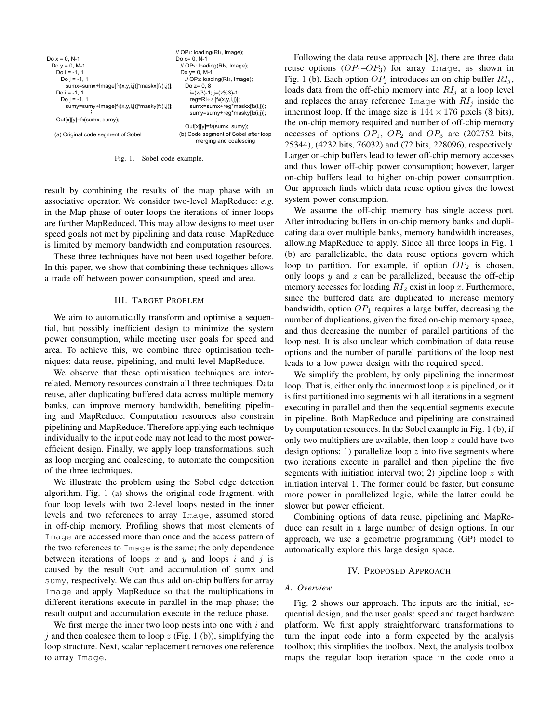|                                                           | $\frac{1}{2}$ OP <sub>1</sub> : loading(RI <sub>1</sub> , Image); |  |  |  |
|-----------------------------------------------------------|-------------------------------------------------------------------|--|--|--|
| Do $x = 0. N-1$                                           | Do $x = 0$ , N-1                                                  |  |  |  |
| Do $y = 0$ , M-1                                          | // OP2: loading(RI2, Image);                                      |  |  |  |
| Do $i = -1, 1$                                            | Do $y = 0$ , M-1                                                  |  |  |  |
| Do $i = -1, 1$                                            | // OP <sub>3</sub> : loading(RI <sub>3</sub> , Image);            |  |  |  |
| $sumx = sumx + Image[f1(x,y,i,j)]$ *maskx $[f2(i,j)]$ ;   | Do $z = 0.8$                                                      |  |  |  |
| Do $i = -1, 1$                                            | i=(z/3)-1; j=(z%3)-1;                                             |  |  |  |
| Do $i = -1, 1$                                            | $reg=R1_{1\sim 3}$ [f <sub>4</sub> (x,y,i,j)];                    |  |  |  |
| sumy=sumy+Image[f <sub>1</sub> (x,y,i,j)]*masky[f2(i,j)]; | sumx=sumx+reg*maskx[f2(i,j)];                                     |  |  |  |
|                                                           | sumy=sumy+reg*masky[f2(i,j)];                                     |  |  |  |
| Out[x][y]=f <sub>3</sub> (sumx, sumy);                    |                                                                   |  |  |  |
|                                                           | Out[x][y]=f <sub>3</sub> (sumx, sumy);                            |  |  |  |
| (a) Original code segment of Sobel                        | (b) Code segment of Sobel after loop<br>merging and coalescing    |  |  |  |
|                                                           |                                                                   |  |  |  |

Fig. 1. Sobel code example.

result by combining the results of the map phase with an associative operator. We consider two-level MapReduce: *e.g.* in the Map phase of outer loops the iterations of inner loops are further MapReduced. This may allow designs to meet user speed goals not met by pipelining and data reuse. MapReduce is limited by memory bandwidth and computation resources.

These three techniques have not been used together before. In this paper, we show that combining these techniques allows a trade off between power consumption, speed and area.

# III. TARGET PROBLEM

We aim to automatically transform and optimise a sequential, but possibly inefficient design to minimize the system power consumption, while meeting user goals for speed and area. To achieve this, we combine three optimisation techniques: data reuse, pipelining, and multi-level MapReduce.

We observe that these optimisation techniques are interrelated. Memory resources constrain all three techniques. Data reuse, after duplicating buffered data across multiple memory banks, can improve memory bandwidth, benefiting pipelining and MapReduce. Computation resources also constrain pipelining and MapReduce. Therefore applying each technique individually to the input code may not lead to the most powerefficient design. Finally, we apply loop transformations, such as loop merging and coalescing, to automate the composition of the three techniques.

We illustrate the problem using the Sobel edge detection algorithm. Fig. 1 (a) shows the original code fragment, with four loop levels with two 2-level loops nested in the inner levels and two references to array Image, assumed stored in off-chip memory. Profiling shows that most elements of Image are accessed more than once and the access pattern of the two references to Image is the same; the only dependence between iterations of loops x and y and loops i and j is caused by the result Out and accumulation of sumx and sumy, respectively. We can thus add on-chip buffers for array Image and apply MapReduce so that the multiplications in different iterations execute in parallel in the map phase; the result output and accumulation execute in the reduce phase.

We first merge the inner two loop nests into one with  $i$  and i and then coalesce them to loop z (Fig. 1 (b)), simplifying the loop structure. Next, scalar replacement removes one reference to array Image.

Following the data reuse approach [8], there are three data reuse options  $OP_1$ – $OP_3$ ) for array Image, as shown in Fig. 1 (b). Each option  $OP_j$  introduces an on-chip buffer  $RI_j$ , loads data from the off-chip memory into  $RI_j$  at a loop level and replaces the array reference Image with  $RI_i$  inside the innermost loop. If the image size is  $144 \times 176$  pixels (8 bits), the on-chip memory required and number of off-chip memory accesses of options  $OP_1$ ,  $OP_2$  and  $OP_3$  are (202752 bits, 25344), (4232 bits, 76032) and (72 bits, 228096), respectively. Larger on-chip buffers lead to fewer off-chip memory accesses and thus lower off-chip power consumption; however, larger on-chip buffers lead to higher on-chip power consumption. Our approach finds which data reuse option gives the lowest system power consumption.

We assume the off-chip memory has single access port. After introducing buffers in on-chip memory banks and duplicating data over multiple banks, memory bandwidth increases, allowing MapReduce to apply. Since all three loops in Fig. 1 (b) are parallelizable, the data reuse options govern which loop to partition. For example, if option  $OP_2$  is chosen, only loops  $y$  and  $z$  can be parallelized, because the off-chip memory accesses for loading  $RI_2$  exist in loop x. Furthermore, since the buffered data are duplicated to increase memory bandwidth, option  $OP_1$  requires a large buffer, decreasing the number of duplications, given the fixed on-chip memory space, and thus decreasing the number of parallel partitions of the loop nest. It is also unclear which combination of data reuse options and the number of parallel partitions of the loop nest leads to a low power design with the required speed.

We simplify the problem, by only pipelining the innermost loop. That is, either only the innermost loop  $z$  is pipelined, or it is first partitioned into segments with all iterations in a segment executing in parallel and then the sequential segments execute in pipeline. Both MapReduce and pipelining are constrained by computation resources. In the Sobel example in Fig. 1 (b), if only two multipliers are available, then loop  $z$  could have two design options: 1) parallelize loop  $z$  into five segments where two iterations execute in parallel and then pipeline the five segments with initiation interval two; 2) pipeline loop  $z$  with initiation interval 1. The former could be faster, but consume more power in parallelized logic, while the latter could be slower but power efficient.

Combining options of data reuse, pipelining and MapReduce can result in a large number of design options. In our approach, we use a geometric programming (GP) model to automatically explore this large design space.

# IV. PROPOSED APPROACH

#### *A. Overview*

Fig. 2 shows our approach. The inputs are the initial, sequential design, and the user goals: speed and target hardware platform. We first apply straightforward transformations to turn the input code into a form expected by the analysis toolbox; this simplifies the toolbox. Next, the analysis toolbox maps the regular loop iteration space in the code onto a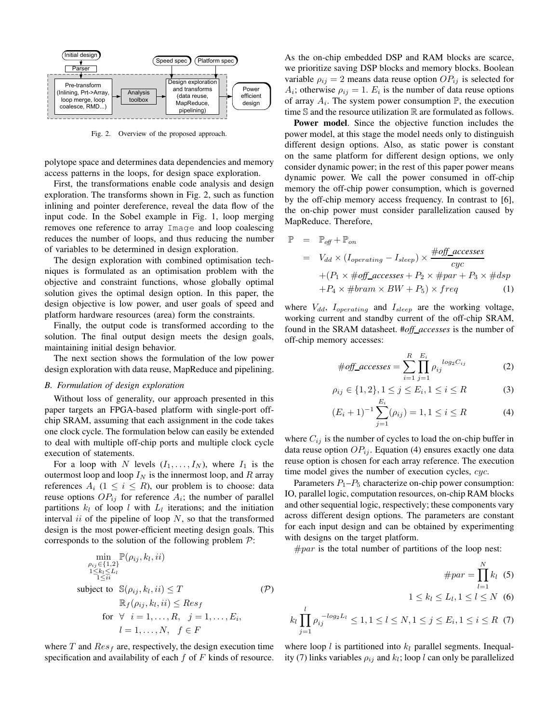

Fig. 2. Overview of the proposed approach.

polytope space and determines data dependencies and memory access patterns in the loops, for design space exploration.

First, the transformations enable code analysis and design exploration. The transforms shown in Fig. 2, such as function inlining and pointer dereference, reveal the data flow of the input code. In the Sobel example in Fig. 1, loop merging removes one reference to array Image and loop coalescing reduces the number of loops, and thus reducing the number of variables to be determined in design exploration.

The design exploration with combined optimisation techniques is formulated as an optimisation problem with the objective and constraint functions, whose globally optimal solution gives the optimal design option. In this paper, the design objective is low power, and user goals of speed and platform hardware resources (area) form the constraints.

Finally, the output code is transformed according to the solution. The final output design meets the design goals, maintaining initial design behavior.

The next section shows the formulation of the low power design exploration with data reuse, MapReduce and pipelining.

# *B. Formulation of design exploration*

Without loss of generality, our approach presented in this paper targets an FPGA-based platform with single-port offchip SRAM, assuming that each assignment in the code takes one clock cycle. The formulation below can easily be extended to deal with multiple off-chip ports and multiple clock cycle execution of statements.

For a loop with N levels  $(I_1, \ldots, I_N)$ , where  $I_1$  is the outermost loop and loop  $I_N$  is the innermost loop, and R array references  $A_i$  ( $1 \leq i \leq R$ ), our problem is to choose: data reuse options  $OP_{ij}$  for reference  $A_i$ ; the number of parallel partitions  $k_l$  of loop l with  $L_l$  iterations; and the initiation interval *ii* of the pipeline of loop  $N$ , so that the transformed design is the most power-efficient meeting design goals. This corresponds to the solution of the following problem  $P$ :

$$
\min_{\substack{\rho_{ij}\in\{1,2\} \\ 1\leq k_l\leq L_l \\ 1\leq ii}} \mathbb{P}(\rho_{ij}, k_l, ii)
$$
\nsubject to 
$$
\mathbb{S}(\rho_{ij}, k_l, ii) \leq T
$$
\n
$$
\mathbb{R}_f(\rho_{ij}, k_l, ii) \leq Res_f
$$
\nfor  $\forall i = 1, ..., R, j = 1, ..., E_i, l = 1, ..., N, f \in F$ \n
$$
(P)
$$

where  $T$  and  $Res<sub>f</sub>$  are, respectively, the design execution time specification and availability of each  $f$  of  $F$  kinds of resource. As the on-chip embedded DSP and RAM blocks are scarce, we prioritize saving DSP blocks and memory blocks. Boolean variable  $\rho_{ij} = 2$  means data reuse option  $OP_{ij}$  is selected for  $A_i$ ; otherwise  $\rho_{ij} = 1$ .  $E_i$  is the number of data reuse options of array  $A_i$ . The system power consumption  $\mathbb P$ , the execution time  $S$  and the resource utilization  $R$  are formulated as follows.

**Power model.** Since the objective function includes the power model, at this stage the model needs only to distinguish different design options. Also, as static power is constant on the same platform for different design options, we only consider dynamic power; in the rest of this paper power means dynamic power. We call the power consumed in off-chip memory the off-chip power consumption, which is governed by the off-chip memory access frequency. In contrast to [6], the on-chip power must consider parallelization caused by MapReduce. Therefore,

$$
\mathbb{P} = \mathbb{P}_{off} + \mathbb{P}_{on}
$$
  
=  $V_{dd} \times (I_{operating} - I_{sleep}) \times \frac{\#off\_accesses}{cyc}$   
+  $(P_1 \times \#off\_accesses + P_2 \times \#par + P_3 \times \# dsp$   
+  $P_4 \times \#bram \times BW + P_5) \times freq$  (1)

where  $V_{dd}$ ,  $I_{operating}$  and  $I_{sleep}$  are the working voltage, working current and standby current of the off-chip SRAM, found in the SRAM datasheet. #*off accesses* is the number of off-chip memory accesses:

$$
\#off\_accesses = \sum_{i=1}^{R} \prod_{j=1}^{E_i} \rho_{ij}^{log_2 C_{ij}} \tag{2}
$$

$$
\rho_{ij} \in \{1, 2\}, 1 \le j \le E_i, 1 \le i \le R
$$
\n<sup>(3)</sup>

$$
(E_i + 1)^{-1} \sum_{j=1}^{n} (\rho_{ij}) = 1, 1 \le i \le R
$$
 (4)

where  $C_{ij}$  is the number of cycles to load the on-chip buffer in data reuse option  $OP_{ii}$ . Equation (4) ensures exactly one data reuse option is chosen for each array reference. The execution time model gives the number of execution cycles, cyc.

Parameters  $P_1-P_5$  characterize on-chip power consumption: IO, parallel logic, computation resources, on-chip RAM blocks and other sequential logic, respectively; these components vary across different design options. The parameters are constant for each input design and can be obtained by experimenting with designs on the target platform.

 $\#par$  is the total number of partitions of the loop nest:

$$
\#par = \prod_{l=1}^{N} k_l \quad (5)
$$
  

$$
1 \le k_l \le L_l, 1 \le l \le N \quad (6)
$$
  

$$
k_l \prod_{j=1}^{l} \rho_{ij}^{-\log_2 L_l} \le 1, 1 \le l \le N, 1 \le j \le E_i, 1 \le i \le R \quad (7)
$$

where loop  $l$  is partitioned into  $k_l$  parallel segments. Inequality (7) links variables  $\rho_{ij}$  and  $k_l$ ; loop l can only be parallelized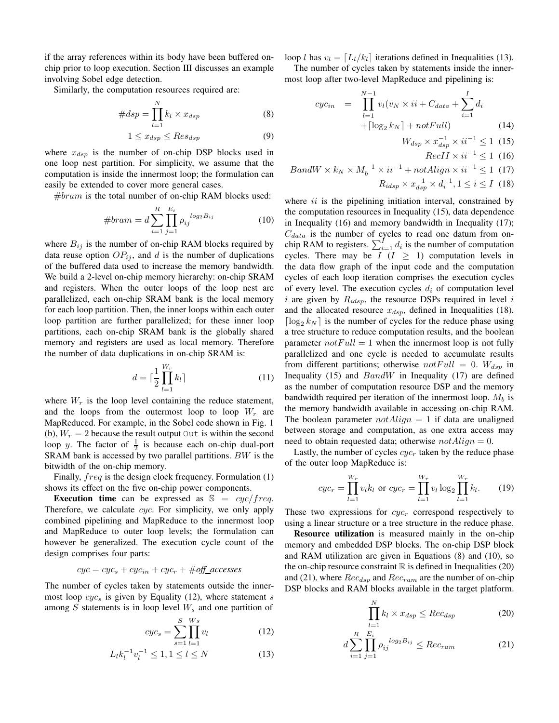if the array references within its body have been buffered onchip prior to loop execution. Section III discusses an example involving Sobel edge detection.

Similarly, the computation resources required are:

$$
#dsp = \prod_{l=1}^{N} k_l \times x_{dsp} \tag{8}
$$

$$
1 \le x_{dsp} \le Res_{dsp} \tag{9}
$$

where  $x_{dsp}$  is the number of on-chip DSP blocks used in one loop nest partition. For simplicity, we assume that the computation is inside the innermost loop; the formulation can easily be extended to cover more general cases.

 $#branch$  is the total number of on-chip RAM blocks used:

#*bram* = 
$$
d \sum_{i=1}^{R} \prod_{j=1}^{E_i} \rho_{ij}^{log_2 B_{ij}}
$$
 (10)

where  $B_{ij}$  is the number of on-chip RAM blocks required by data reuse option  $OP_{ij}$ , and d is the number of duplications of the buffered data used to increase the memory bandwidth. We build a 2-level on-chip memory hierarchy: on-chip SRAM and registers. When the outer loops of the loop nest are parallelized, each on-chip SRAM bank is the local memory for each loop partition. Then, the inner loops within each outer loop partition are further parallelized; for these inner loop partitions, each on-chip SRAM bank is the globally shared memory and registers are used as local memory. Therefore the number of data duplications in on-chip SRAM is:

$$
d = \lceil \frac{1}{2} \prod_{l=1}^{W_r} k_l \rceil \tag{11}
$$

where  $W_r$  is the loop level containing the reduce statement, and the loops from the outermost loop to loop  $W_r$  are MapReduced. For example, in the Sobel code shown in Fig. 1 (b),  $W_r = 2$  because the result output Out is within the second loop y. The factor of  $\frac{1}{2}$  is because each on-chip dual-port SRAM bank is accessed by two parallel partitions. BW is the bitwidth of the on-chip memory.

Finally,  $freq$  is the design clock frequency. Formulation  $(1)$ shows its effect on the five on-chip power components.

**Execution time** can be expressed as  $\mathbb{S} = cyc/freq$ . Therefore, we calculate *cyc*. For simplicity, we only apply combined pipelining and MapReduce to the innermost loop and MapReduce to outer loop levels; the formulation can however be generalized. The execution cycle count of the design comprises four parts:

$$
cyc = cyc_s + cyc_{in} + cyc_r + \#off\_accesses
$$

The number of cycles taken by statements outside the innermost loop  $cyc_s$  is given by Equality (12), where statement s among  $S$  statements is in loop level  $W_s$  and one partition of

$$
cyc_s = \sum_{s=1}^{S} \prod_{l=1}^{Ws} v_l
$$
 (12)

$$
L_l k_l^{-1} v_l^{-1} \le 1, 1 \le l \le N \tag{13}
$$

loop l has  $v_l = [L_l/k_l]$  iterations defined in Inequalities (13).

The number of cycles taken by statements inside the innermost loop after two-level MapReduce and pipelining is:

$$
cyc_{in} = \prod_{l=1}^{N-1} v_l(v_N \times ii + C_{data} + \sum_{i=1}^{I} d_i + \lceil \log_2 k_N \rceil + notFull)
$$
 (14)

$$
W_{dsp} \times x_{dsp}^{-1} \times ii^{-1} \le 1 \tag{15}
$$

$$
RecII \times ii^{-1} \le 1 \tag{16}
$$

$$
BandW \times k_N \times M_b^{-1} \times ii^{-1} + not{align} \times ii^{-1} \le 1 \tag{17}
$$
  

$$
R_{idsp} \times x_{dsp}^{-1} \times d_i^{-1}, 1 \le i \le I \tag{18}
$$

where  $ii$  is the pipelining initiation interval, constrained by the computation resources in Inequality (15), data dependence in Inequality (16) and memory bandwidth in Inequality (17);  $C_{data}$  is the number of cycles to read one datum from onchip RAM to registers.  $\sum_{i=1}^{I} d_i$  is the number of computation cycles. There may be  $I (I \geq 1)$  computation levels in the data flow graph of the input code and the computation cycles of each loop iteration comprises the execution cycles of every level. The execution cycles  $d_i$  of computation level i are given by  $R_{idsp}$ , the resource DSPs required in level i and the allocated resource  $x_{dsp}$ , defined in Inequalities (18).  $\lceil \log_2 k_N \rceil$  is the number of cycles for the reduce phase using a tree structure to reduce computation results, and the boolean parameter  $notFull = 1$  when the innermost loop is not fully parallelized and one cycle is needed to accumulate results from different partitions; otherwise  $notFull = 0$ .  $W_{dsp}$  in Inequality (15) and  $BandW$  in Inequality (17) are defined as the number of computation resource DSP and the memory bandwidth required per iteration of the innermost loop.  $M_b$  is the memory bandwidth available in accessing on-chip RAM. The boolean parameter  $notAliqn = 1$  if data are unaligned between storage and computation, as one extra access may need to obtain requested data; otherwise  $notA lign = 0$ .

Lastly, the number of cycles  $cyc_r$  taken by the reduce phase of the outer loop MapReduce is:

$$
cyc_r = \prod_{l=1}^{W_r} v_l k_l \text{ or } cyc_r = \prod_{l=1}^{W_r} v_l \log_2 \prod_{l=1}^{W_r} k_l.
$$
 (19)

These two expressions for  $cyc<sub>r</sub>$  correspond respectively to using a linear structure or a tree structure in the reduce phase.

**Resource utilization** is measured mainly in the on-chip memory and embedded DSP blocks. The on-chip DSP block and RAM utilization are given in Equations (8) and (10), so the on-chip resource constraint  $\mathbb R$  is defined in Inequalities (20) and (21), where  $Rec_{dsp}$  and  $Rec_{ram}$  are the number of on-chip DSP blocks and RAM blocks available in the target platform.

$$
\prod_{l=1}^{N} k_l \times x_{dsp} \leq Rec_{dsp} \tag{20}
$$

$$
d\sum_{i=1}^{R} \prod_{j=1}^{E_i} \rho_{ij}^{log_2 B_{ij}} \leq Rec_{ram}
$$
 (21)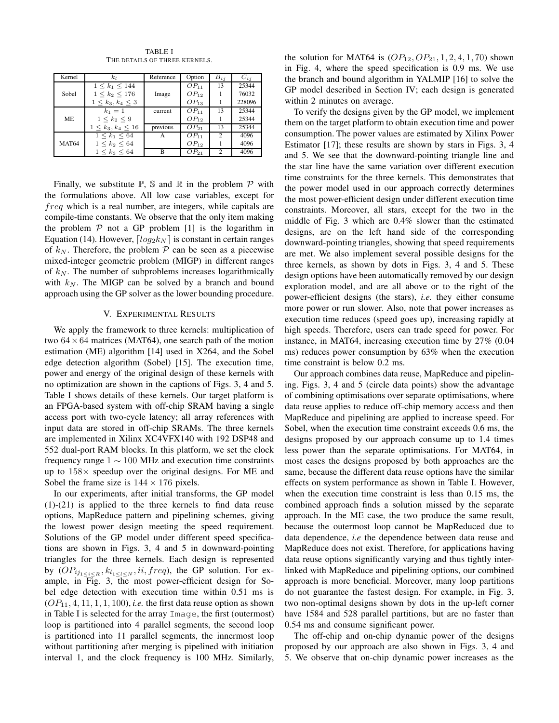| Kernel       | k1                        | Reference | Option    | $B_{i,i}$ | $C_{i,i}$ |
|--------------|---------------------------|-----------|-----------|-----------|-----------|
|              | $1 \leq k_1 \leq 144$     |           | $OP_{11}$ | 13        | 25344     |
| Sobel        | $1 \leq k_2 \leq 176$     | Image     | $OP_{12}$ |           | 76032     |
|              | $1 \leq k_3, k_4 \leq 3$  |           | $OP_{13}$ |           | 228096    |
|              | $k_1 = 1$                 | current   | $OP_{11}$ | 13        | 25344     |
| <b>ME</b>    | $1 \leq k_2 \leq 9$       |           | $OP_{12}$ |           | 25344     |
|              | $1 \leq k_3, k_4 \leq 16$ | previous  | $OP_{21}$ | 13        | 25344     |
|              | $1 \leq k_1 \leq 64$      | A         | $OP_{11}$ | 2         | 4096      |
| <b>MAT64</b> | $1 \leq k_2 \leq 64$      |           | $OP_{12}$ |           | 4096      |
|              | $1 \leq k_3 \leq 64$      | в         | $OP_{21}$ |           | 4096      |

TABLE I THE DETAILS OF THREE KERNELS.

Finally, we substitute  $\mathbb{P}$ ,  $\mathbb S$  and  $\mathbb R$  in the problem  $\mathcal P$  with the formulations above. All low case variables, except for freq which is a real number, are integers, while capitals are compile-time constants. We observe that the only item making the problem  $P$  not a GP problem [1] is the logarithm in Equation (14). However,  $\lfloor log_2 k_N \rfloor$  is constant in certain ranges of  $k_N$ . Therefore, the problem  $P$  can be seen as a piecewise mixed-integer geometric problem (MIGP) in different ranges of  $k_N$ . The number of subproblems increases logarithmically with  $k_N$ . The MIGP can be solved by a branch and bound approach using the GP solver as the lower bounding procedure.

#### V. EXPERIMENTAL RESULTS

We apply the framework to three kernels: multiplication of two  $64 \times 64$  matrices (MAT64), one search path of the motion estimation (ME) algorithm [14] used in X264, and the Sobel edge detection algorithm (Sobel) [15]. The execution time, power and energy of the original design of these kernels with no optimization are shown in the captions of Figs. 3, 4 and 5. Table I shows details of these kernels. Our target platform is an FPGA-based system with off-chip SRAM having a single access port with two-cycle latency; all array references with input data are stored in off-chip SRAMs. The three kernels are implemented in Xilinx XC4VFX140 with 192 DSP48 and 552 dual-port RAM blocks. In this platform, we set the clock frequency range  $1 \sim 100$  MHz and execution time constraints up to  $158\times$  speedup over the original designs. For ME and Sobel the frame size is  $144 \times 176$  pixels.

In our experiments, after initial transforms, the GP model (1)-(21) is applied to the three kernels to find data reuse options, MapReduce pattern and pipelining schemes, giving the lowest power design meeting the speed requirement. Solutions of the GP model under different speed specifications are shown in Figs. 3, 4 and 5 in downward-pointing triangles for the three kernels. Each design is represented by  $OP_{ij_{1 \leq i \leq R}}$ ,  $k_{l_{1 \leq l \leq N}}$ ,  $ii, freq$ ), the GP solution. For example, in Fig. 3, the most power-efficient design for Sobel edge detection with execution time within 0.51 ms is  $OP<sub>11</sub>, 4, 11, 1, 1, 100$ , *i.e.* the first data reuse option as shown in Table I is selected for the array Image, the first (outermost) loop is partitioned into 4 parallel segments, the second loop is partitioned into 11 parallel segments, the innermost loop without partitioning after merging is pipelined with initiation interval 1, and the clock frequency is 100 MHz. Similarly,

the solution for MAT64 is  $OP_{12}, OP_{21}, 1, 2, 4, 1, 70$  shown in Fig. 4, where the speed specification is 0.9 ms. We use the branch and bound algorithm in YALMIP [16] to solve the GP model described in Section IV; each design is generated within 2 minutes on average.

To verify the designs given by the GP model, we implement them on the target platform to obtain execution time and power consumption. The power values are estimated by Xilinx Power Estimator [17]; these results are shown by stars in Figs. 3, 4 and 5. We see that the downward-pointing triangle line and the star line have the same variation over different execution time constraints for the three kernels. This demonstrates that the power model used in our approach correctly determines the most power-efficient design under different execution time constraints. Moreover, all stars, except for the two in the middle of Fig. 3 which are 0.4% slower than the estimated designs, are on the left hand side of the corresponding downward-pointing triangles, showing that speed requirements are met. We also implement several possible designs for the three kernels, as shown by dots in Figs. 3, 4 and 5. These design options have been automatically removed by our design exploration model, and are all above or to the right of the power-efficient designs (the stars), *i.e.* they either consume more power or run slower. Also, note that power increases as execution time reduces (speed goes up), increasing rapidly at high speeds. Therefore, users can trade speed for power. For instance, in MAT64, increasing execution time by 27% (0.04 ms) reduces power consumption by 63% when the execution time constraint is below 0.2 ms.

Our approach combines data reuse, MapReduce and pipelining. Figs. 3, 4 and 5 (circle data points) show the advantage of combining optimisations over separate optimisations, where data reuse applies to reduce off-chip memory access and then MapReduce and pipelining are applied to increase speed. For Sobel, when the execution time constraint exceeds 0.6 ms, the designs proposed by our approach consume up to 1.4 times less power than the separate optimisations. For MAT64, in most cases the designs proposed by both approaches are the same, because the different data reuse options have the similar effects on system performance as shown in Table I. However, when the execution time constraint is less than 0.15 ms, the combined approach finds a solution missed by the separate approach. In the ME case, the two produce the same result, because the outermost loop cannot be MapReduced due to data dependence, *i.e* the dependence between data reuse and MapReduce does not exist. Therefore, for applications having data reuse options significantly varying and thus tightly interlinked with MapReduce and pipelining options, our combined approach is more beneficial. Moreover, many loop partitions do not guarantee the fastest design. For example, in Fig. 3, two non-optimal designs shown by dots in the up-left corner have 1584 and 528 parallel partitions, but are no faster than 0.54 ms and consume significant power.

The off-chip and on-chip dynamic power of the designs proposed by our approach are also shown in Figs. 3, 4 and 5. We observe that on-chip dynamic power increases as the